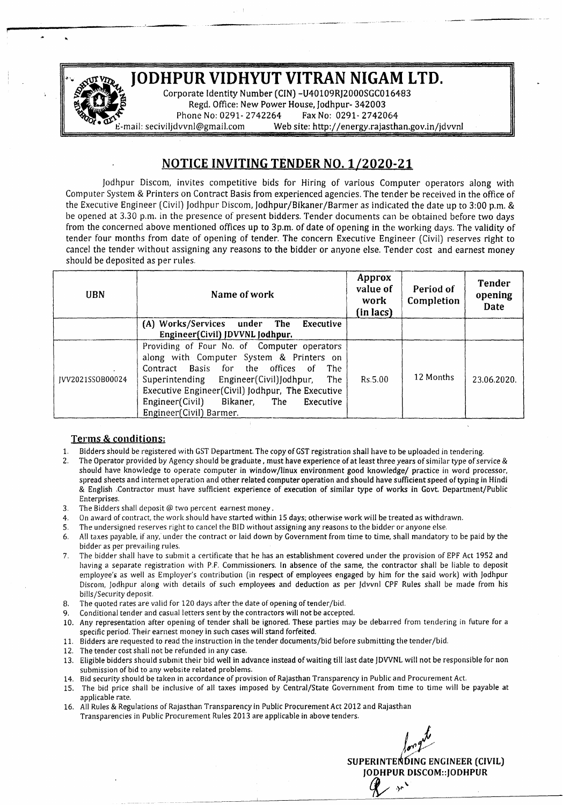

---\_..•.....•......-•••......•......•-

## NOTICE INVITING TENDER NO. *1/2020-21*

Jodhpur Discorn, invites competitive bids for Hiring of *various* Computer operators along with Computer System & Printers on Contract Basis from experienced agencies. The tender be received in the office of the Executive Engineer *(Civil)* Jodhpur Discom, Jodhpur/Bikaner/Barmer as indicated the date up to 3:00 p.m. & be opened at 3.30 p.m. in the presence of present bidders. Tender documents can be obtained before two days from the concerned above mentioned offices up to 3p.m. of date of opening in the working days. The *validity* of tender four months from date of opening of tender. The concern *Executive* Engineer *(Civil) reserves* right to cancel the tender without assigning any reasons to the bidder or anyone else. Tender cost and earnest money should be deposited as per rules.

| <b>UBN</b>       | Name of work                                                                                                                                                                                                                                                                                                            | Approx<br>value of<br>work<br>(in lacs) | Period of<br>Completion | <b>Tender</b><br>opening<br>Date |
|------------------|-------------------------------------------------------------------------------------------------------------------------------------------------------------------------------------------------------------------------------------------------------------------------------------------------------------------------|-----------------------------------------|-------------------------|----------------------------------|
|                  | (A) Works/Services under The<br>Executive<br>Engineer(Civil) JDVVNL Jodhpur.                                                                                                                                                                                                                                            |                                         |                         |                                  |
| IVV2021SSOB00024 | Providing of Four No. of Computer operators<br>along with Computer System & Printers on<br>Contract Basis for the offices<br>The<br>of.<br>Superintending Engineer(Civil)Jodhpur, The<br>Executive Engineer(Civil) Jodhpur, The Executive<br>Engineer(Civil)<br>Bikaner,<br>The<br>Executive<br>Engineer(Civil) Barmer. | Rs.5.00                                 | 12 Months               | 23.06.2020.                      |

## Terms & conditions:

- 1. Bidders should be registered with GST Department. The copy of GST registration shall have to be uploaded in tendering.
- 2. The Operator provided by Agency should be graduate, must have experience of at least three years of similar type of service & should have knowledge to operate computer in wlndow/llnux environment good knowledge/ practice in word processor, spread sheets and internet operation and other related computer operation and should have sufficient speed of typing in Hindi & English .Contractor must have sufficient experience of execution of similar type of works in Govt. Department/Public Enterprises.
- 3. The Bidders shall deposit @ two percent earnest money.
- 4. On award of contract, the work should have started within 15 days; otherwise work will be treated as withdrawn.
- S. The undersigned *reserves* right to cancel the BID without assigning any reasons to the bidder or anyone else.
- 6. All taxes payable, if any,' under the contract or laid down by Government from time to time, shall mandatory to be paid by the bidder as per prevailing rules.
- 7. The bidder shall have to submit a certificate that he has an establishment covered under the provision of EPF Act 1952 and having a separate registration with P.F. Commissioners. In absence of the same, the contractor shall be liable to deposit employee's as well as Employer's contribution (in respect of employees engaged by him for the said work) with Jodhpur Discern, Jodhpur along with details of such employees and deduction as per Jdvvnl CPF Rules shall be made from his bills/Security deposit.
- 8. The quoted rates are valid for 120 days after the date of opening of tender/bid.
- 9. Conditional tender and casual letters sent by the contractors will not be accepted.
- 10. Any representation after opening of tender shall be ignored. These parties may be debarred from tendering in future for a specific period. Their earnest money in such cases will stand forfeited.
- 11. Bidders are requested to read the instruction in the tender documents/bid before submitting the tender/bid.
- 12. The tender cost shall not be refunded in any case.
- 13. Eligible bidders should submit their bid well in advance instead of waiting till last date JDVVNL will not be responsible for non submission of bid to any website related problems.
- 14. Bid security should be taken in accordance of provision of Rajasthan Transparency in Public and Procurement Act.
- 15. The bid price shall be inclusive of all taxes imposed by Central/State Government from time to time will be payable at applicable rate.
- 16. All Rules & Regulations of Rajasthan Transparency in Public Procurement Act 2012 and Rajasthan Transparencies in Public Procurement Rules 2013 are applicable in above tenders.

*J~t*

SUPERINTENDING ENGINEER (CIVIL) JODHPUR DlSCOM::JODHPUR

 $\mathcal{L}$  ,  $\mathcal{L}$  ,  $\mathcal{L}$  ,  $\mathcal{L}$  ,  $\mathcal{L}$  ,  $\mathcal{L}$  ,  $\mathcal{L}$  ,  $\mathcal{L}$  ,  $\mathcal{L}$  ,  $\mathcal{L}$  ,  $\mathcal{L}$  ,  $\mathcal{L}$  ,  $\mathcal{L}$  ,  $\mathcal{L}$  ,  $\mathcal{L}$  ,  $\mathcal{L}$  ,  $\mathcal{L}$  ,  $\mathcal{L}$  ,  $\mathcal{L}$  ,  $\mathcal{L}$  ,